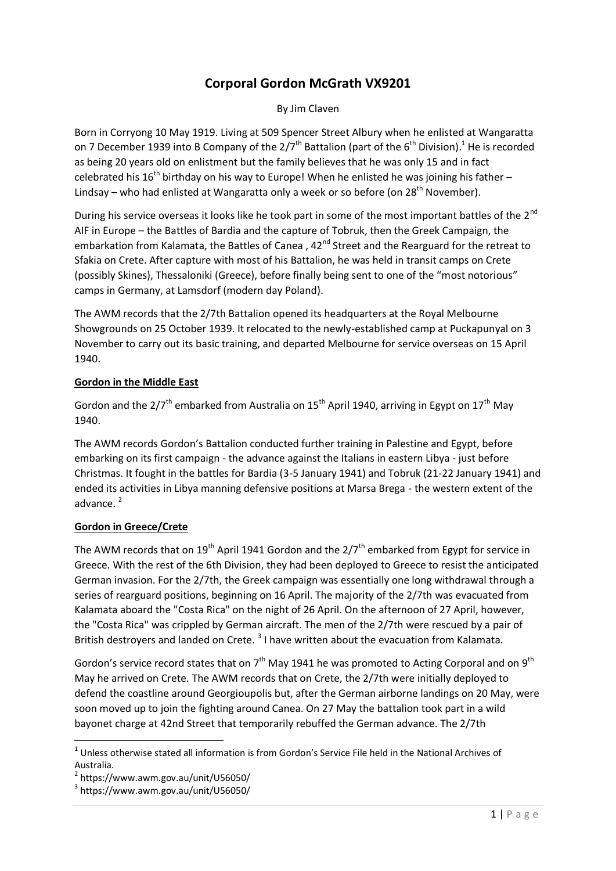# **Corporal Gordon McGrath VX9201**

By Jim Claven

Born in Corryong 10 May 1919. Living at 509 Spencer Street Albury when he enlisted at Wangaratta on 7 December 1939 into B Company of the 2/7<sup>th</sup> Battalion (part of the 6<sup>th</sup> Division).<sup>1</sup> He is recorded as being 20 years old on enlistment but the family believes that he was only 15 and in fact celebrated his 16<sup>th</sup> birthday on his way to Europe! When he enlisted he was joining his father – Lindsay – who had enlisted at Wangaratta only a week or so before (on 28<sup>th</sup> November).

During his service overseas it looks like he took part in some of the most important battles of the 2<sup>nd</sup> AIF in Europe – the Battles of Bardia and the capture of Tobruk, then the Greek Campaign, the embarkation from Kalamata, the Battles of Canea, 42<sup>nd</sup> Street and the Rearguard for the retreat to Sfakia on Crete. After capture with most of his Battalion, he was held in transit camps on Crete (possibly Skines), Thessaloniki (Greece), before finally being sent to one of the "most notorious" camps in Germany, at Lamsdorf (modern day Poland).

The AWM records that the 2/7th Battalion opened its headquarters at the Royal Melbourne Showgrounds on 25 October 1939. It relocated to the newly-established camp at Puckapunyal on 3 November to carry out its basic training, and departed Melbourne for service overseas on 15 April 1940.

### **Gordon in the Middle East**

Gordon and the  $27<sup>th</sup>$  embarked from Australia on  $15<sup>th</sup>$  April 1940, arriving in Egypt on  $17<sup>th</sup>$  May 1940.

The AWM records Gordon's Battalion conducted further training in Palestine and Egypt, before embarking on its first campaign - the advance against the Italians in eastern Libya - just before Christmas. It fought in the battles for Bardia (3-5 January 1941) and Tobruk (21-22 January 1941) and ended its activities in Libya manning defensive positions at Marsa Brega - the western extent of the advance. $2$ 

#### **Gordon in Greece/Crete**

The AWM records that on 19<sup>th</sup> April 1941 Gordon and the  $2/7<sup>th</sup>$  embarked from Egypt for service in Greece. With the rest of the 6th Division, they had been deployed to Greece to resist the anticipated German invasion. For the 2/7th, the Greek campaign was essentially one long withdrawal through a series of rearguard positions, beginning on 16 April. The majority of the 2/7th was evacuated from Kalamata aboard the "Costa Rica" on the night of 26 April. On the afternoon of 27 April, however, the "Costa Rica" was crippled by German aircraft. The men of the 2/7th were rescued by a pair of British destroyers and landed on Crete.<sup>3</sup> I have written about the evacuation from Kalamata.

Gordon's service record states that on 7<sup>th</sup> May 1941 he was promoted to Acting Corporal and on 9<sup>th</sup> May he arrived on Crete. The AWM records that on Crete, the 2/7th were initially deployed to defend the coastline around Georgioupolis but, after the German airborne landings on 20 May, were soon moved up to join the fighting around Canea. On 27 May the battalion took part in a wild bayonet charge at 42nd Street that temporarily rebuffed the German advance. The 2/7th

1

 $1$  Unless otherwise stated all information is from Gordon's Service File held in the National Archives of Australia.

<sup>2</sup> https://www.awm.gov.au/unit/U56050/

<sup>3</sup> https://www.awm.gov.au/unit/U56050/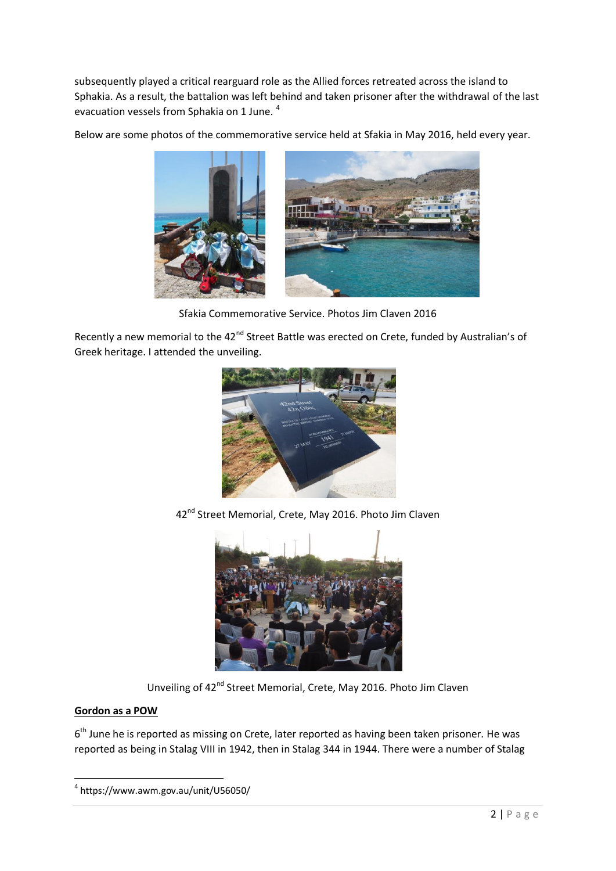subsequently played a critical rearguard role as the Allied forces retreated across the island to Sphakia. As a result, the battalion was left behind and taken prisoner after the withdrawal of the last evacuation vessels from Sphakia on 1 June. <sup>4</sup>

Below are some photos of the commemorative service held at Sfakia in May 2016, held every year.



Sfakia Commemorative Service. Photos Jim Claven 2016

Recently a new memorial to the 42<sup>nd</sup> Street Battle was erected on Crete, funded by Australian's of Greek heritage. I attended the unveiling.



42<sup>nd</sup> Street Memorial, Crete, May 2016. Photo Jim Claven



Unveiling of 42<sup>nd</sup> Street Memorial, Crete, May 2016. Photo Jim Claven

## **Gordon as a POW**

6<sup>th</sup> June he is reported as missing on Crete, later reported as having been taken prisoner. He was reported as being in Stalag VIII in 1942, then in Stalag 344 in 1944. There were a number of Stalag

 4 https://www.awm.gov.au/unit/U56050/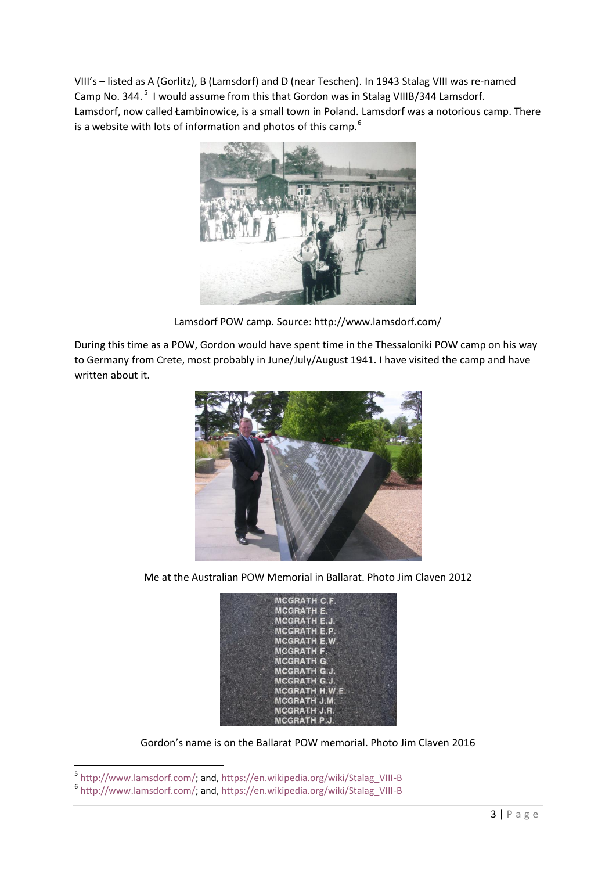VIII's – listed as A (Gorlitz), B (Lamsdorf) and D (near Teschen). In 1943 Stalag VIII was re-named Camp No. 344.<sup>5</sup> I would assume from this that Gordon was in Stalag VIIIB/344 Lamsdorf. Lamsdorf, now called Łambinowice, is a small town in Poland. Lamsdorf was a notorious camp. There is a website with lots of information and photos of this camp.<sup>6</sup>



Lamsdorf POW camp. Source: http://www.lamsdorf.com/

During this time as a POW, Gordon would have spent time in the Thessaloniki POW camp on his way to Germany from Crete, most probably in June/July/August 1941. I have visited the camp and have written about it.



Me at the Australian POW Memorial in Ballarat. Photo Jim Claven 2012

| <b>MCGRATH C.F.</b>   |  |
|-----------------------|--|
| <b>MCGRATH E.</b>     |  |
| <b>MCGRATH E.J.</b>   |  |
| <b>MCGRATH E.P.</b>   |  |
| <b>MCGRATH E.W.</b>   |  |
| <b>MCGRATH F.</b>     |  |
| <b>MCGRATH G.</b>     |  |
| <b>MCGRATH G.J.</b>   |  |
| <b>MCGRATH G.J.</b>   |  |
| <b>MCGRATH H.W.E.</b> |  |
| <b>MCGRATH J.M.</b>   |  |
| <b>MCGRATH J.R.</b>   |  |
| <b>MCGRATH P.J.</b>   |  |
|                       |  |

Gordon's name is on the Ballarat POW memorial. Photo Jim Claven 2016

1

<sup>&</sup>lt;sup>5</sup> [http://www.lamsdorf.com/;](http://www.lamsdorf.com/) and, [https://en.wikipedia.org/wiki/Stalag\\_VIII-B](https://en.wikipedia.org/wiki/Stalag_VIII-B)

<sup>&</sup>lt;sup>6</sup> [http://www.lamsdorf.com/;](http://www.lamsdorf.com/) and, [https://en.wikipedia.org/wiki/Stalag\\_VIII-B](https://en.wikipedia.org/wiki/Stalag_VIII-B)